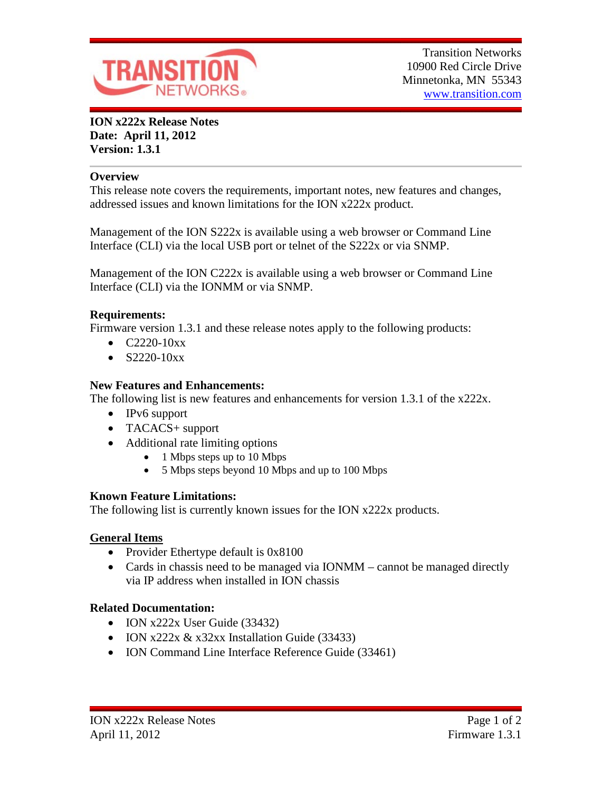

**ION x222x Release Notes Date: April 11, 2012 Version: 1.3.1**

### **Overview**

This release note covers the requirements, important notes, new features and changes, addressed issues and known limitations for the ION x222x product.

Management of the ION S222x is available using a web browser or Command Line Interface (CLI) via the local USB port or telnet of the S222x or via SNMP.

Management of the ION C222x is available using a web browser or Command Line Interface (CLI) via the IONMM or via SNMP.

### **Requirements:**

Firmware version 1.3.1 and these release notes apply to the following products:

- $C2220-10xx$
- $S2220-10xx$

# **New Features and Enhancements:**

The following list is new features and enhancements for version 1.3.1 of the x222x.

- IPv6 support
- TACACS+ support
- Additional rate limiting options
	- 1 Mbps steps up to 10 Mbps
	- 5 Mbps steps beyond 10 Mbps and up to 100 Mbps

# **Known Feature Limitations:**

The following list is currently known issues for the ION x222x products.

# **General Items**

- Provider Ethertype default is 0x8100
- Cards in chassis need to be managed via IONMM cannot be managed directly via IP address when installed in ION chassis

# **Related Documentation:**

- ION x222x User Guide (33432)
- ION x222x  $& x32xx$  Installation Guide (33433)
- ION Command Line Interface Reference Guide (33461)